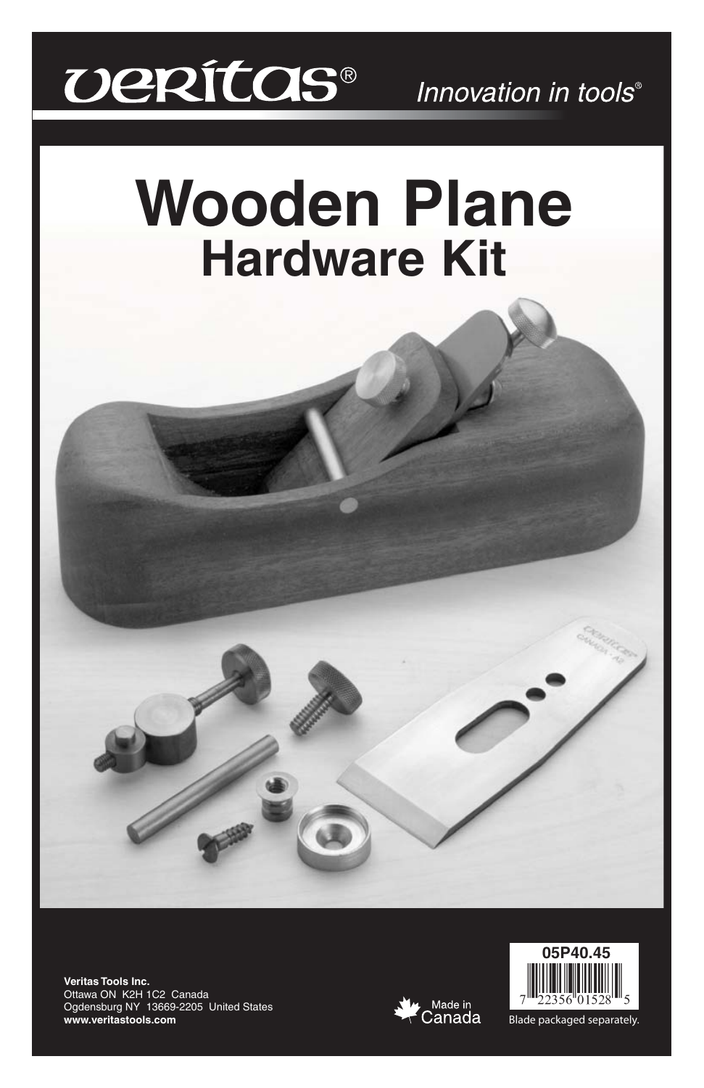# *DERÍTOS®*

# **Wooden Plane Hardware Kit**

**Veritas Tools Inc.** Ottawa ON K2H 1C2 Canada Ogdensburg NY 13669-2205 United States **www.veritastools.com**





Blade packaged separately.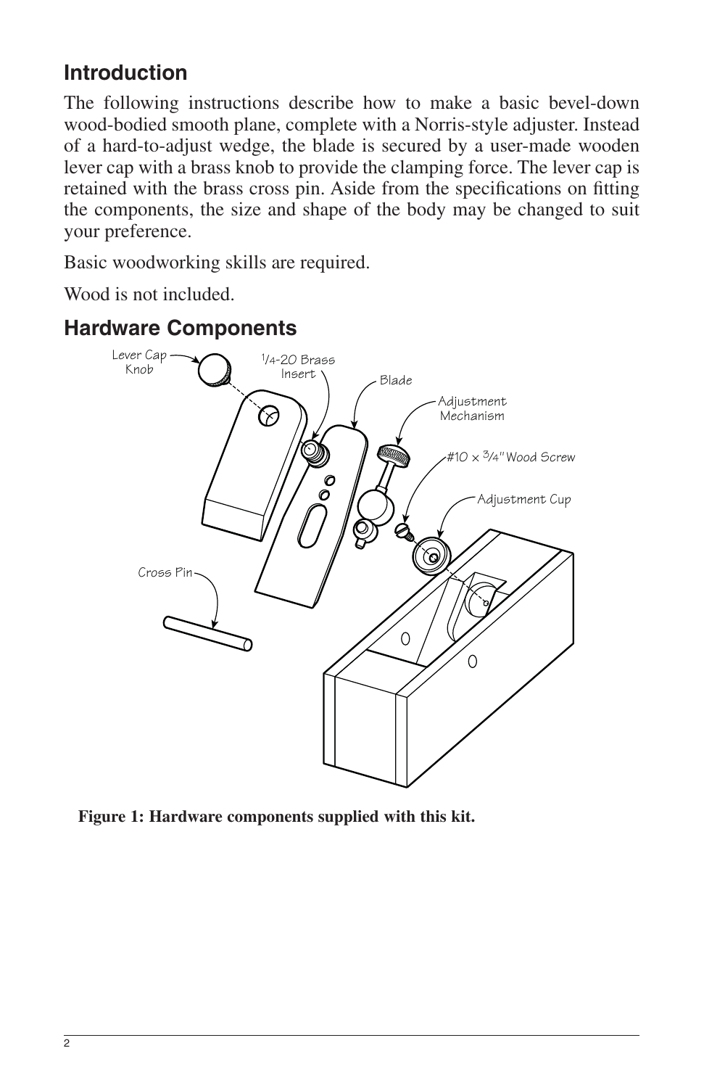# **Introduction**

The following instructions describe how to make a basic bevel-down wood-bodied smooth plane, complete with a Norris-style adjuster. Instead of a hard-to-adjust wedge, the blade is secured by a user-made wooden lever cap with a brass knob to provide the clamping force. The lever cap is retained with the brass cross pin. Aside from the specifications on fitting the components, the size and shape of the body may be changed to suit your preference.

Basic woodworking skills are required.

Wood is not included.



## **Hardware Components**

**Figure 1: Hardware components supplied with this kit.**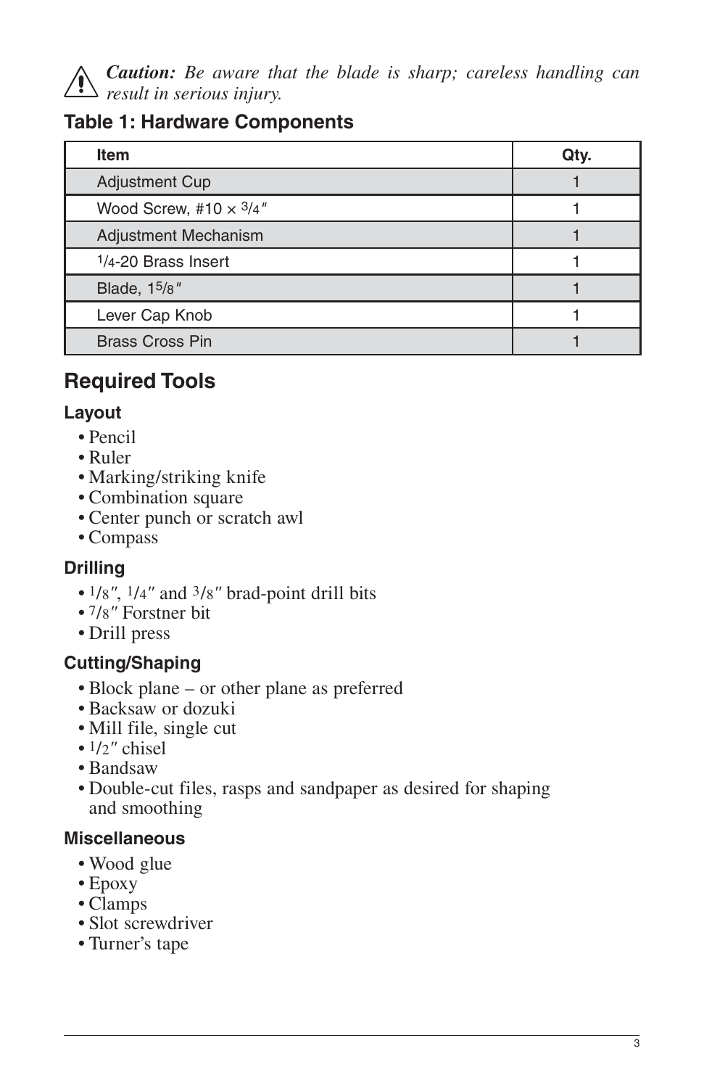

*Caution: Be aware that the blade is sharp; careless handling can result in serious injury.*

## **Table 1: Hardware Components**

| <b>Item</b>                   | Qty. |
|-------------------------------|------|
| <b>Adjustment Cup</b>         |      |
| Wood Screw, #10 $\times$ 3/4" |      |
| Adjustment Mechanism          |      |
| $1/4 - 20$ Brass Insert       |      |
| Blade, 15/8"                  |      |
| Lever Cap Knob                |      |
| <b>Brass Cross Pin</b>        |      |

# **Required Tools**

#### **Layout**

- Pencil
- Ruler
- Marking/striking knife
- Combination square
- Center punch or scratch awl
- Compass

## **Drilling**

- 1/8*"*, 1/4*"* and 3/8*"* brad-point drill bits
- 7/8*"* Forstner bit
- Drill press

## **Cutting/Shaping**

- Block plane or other plane as preferred
- Backsaw or dozuki
- Mill file, single cut
- 1/2*"* chisel
- Bandsaw
- Double-cut files, rasps and sandpaper as desired for shaping and smoothing

#### **Miscellaneous**

- Wood glue
- Epoxy
- Clamps
- Slot screwdriver
- Turner's tape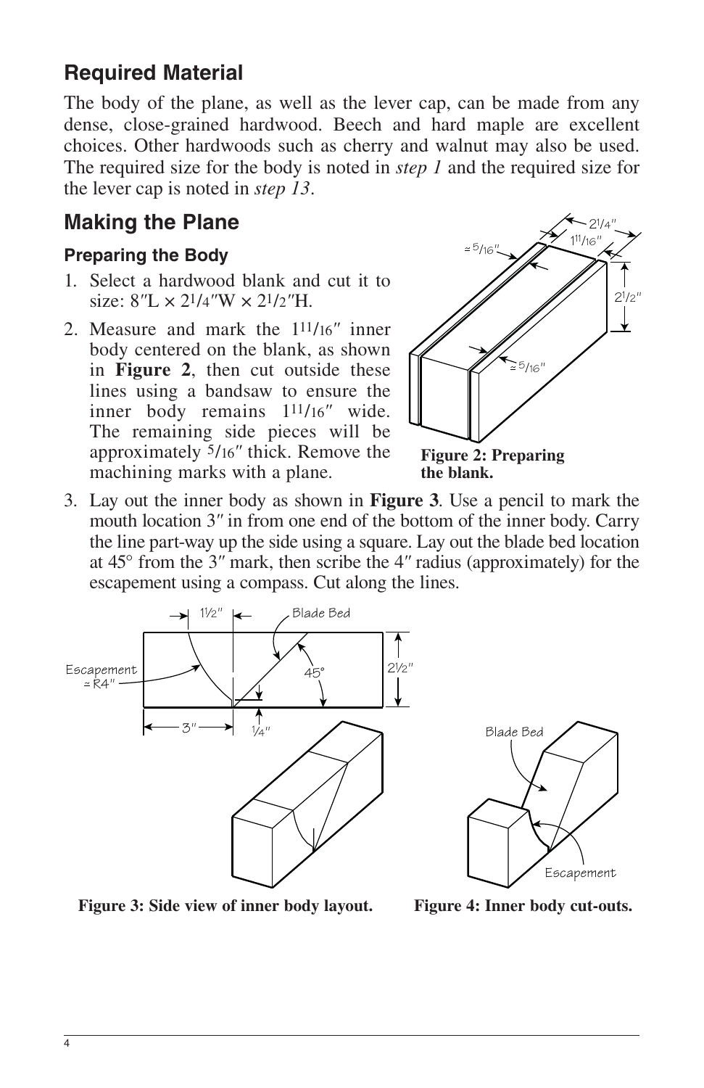# **Required Material**

The body of the plane, as well as the lever cap, can be made from any dense, close-grained hardwood. Beech and hard maple are excellent choices. Other hardwoods such as cherry and walnut may also be used. The required size for the body is noted in *step 1* and the required size for the lever cap is noted in *step 13*.

# **Making the Plane**

#### **Preparing the Body**

- 1. Select a hardwood blank and cut it to size:  $8''L \times 2^{1/4}W \times 2^{1/2}H$ .
- 2. Measure and mark the 111/16*"* inner body centered on the blank, as shown in **Figure 2**, then cut outside these lines using a bandsaw to ensure the inner body remains 111/16*"* wide. The remaining side pieces will be approximately 5/16*"* thick. Remove the machining marks with a plane.



**the blank.**

3. Lay out the inner body as shown in **Figure 3**. Use a pencil to mark the mouth location 3*"* in from one end of the bottom of the inner body. Carry the line part-way up the side using a square. Lay out the blade bed location at 45° from the 3*"* mark, then scribe the 4*"* radius (approximately) for the escapement using a compass. Cut along the lines.





**Figure 3: Side view of inner body layout. Figure 4: Inner body cut-outs.**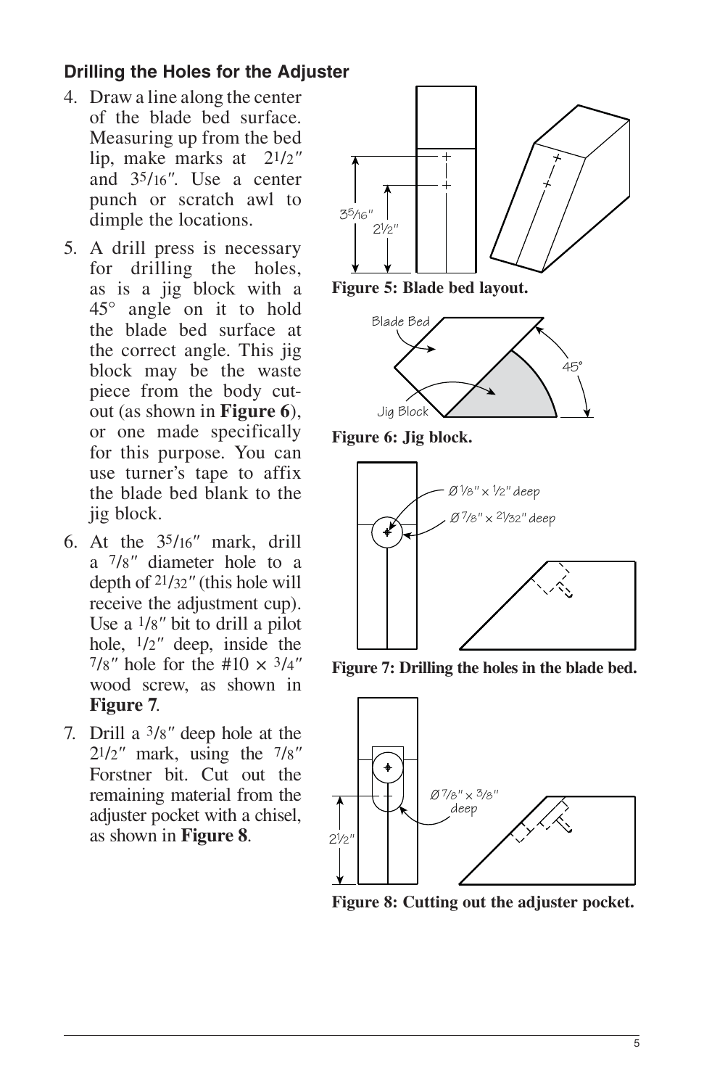### **Drilling the Holes for the Adjuster**

- 4. Draw a line along the center of the blade bed surface. Measuring up from the bed lip, make marks at 21/2*"* and 35/16*"*. Use a center punch or scratch awl to dimple the locations.
- 5. A drill press is necessary for drilling the holes, as is a jig block with a 45° angle on it to hold the blade bed surface at the correct angle. This jig block may be the waste piece from the body cutout (as shown in **Figure 6**), or one made specifically for this purpose. You can use turner's tape to affix the blade bed blank to the jig block.
- 6. At the 35/16*"* mark, drill a 7/8*"* diameter hole to a depth of 21/32*"* (this hole will receive the adjustment cup). Use a 1/8*"* bit to drill a pilot hole, 1/2*"* deep, inside the  $7/8''$  hole for the #10  $\times$  3/4" wood screw, as shown in **Figure 7**.
- 7. Drill a 3/8*"* deep hole at the 21/2*"* mark, using the 7/8*"* Forstner bit. Cut out the remaining material from the adjuster pocket with a chisel, as shown in **Figure 8**.





**Figure 6: Jig block.**



**Figure 7: Drilling the holes in the blade bed.**



**Figure 8: Cutting out the adjuster pocket.**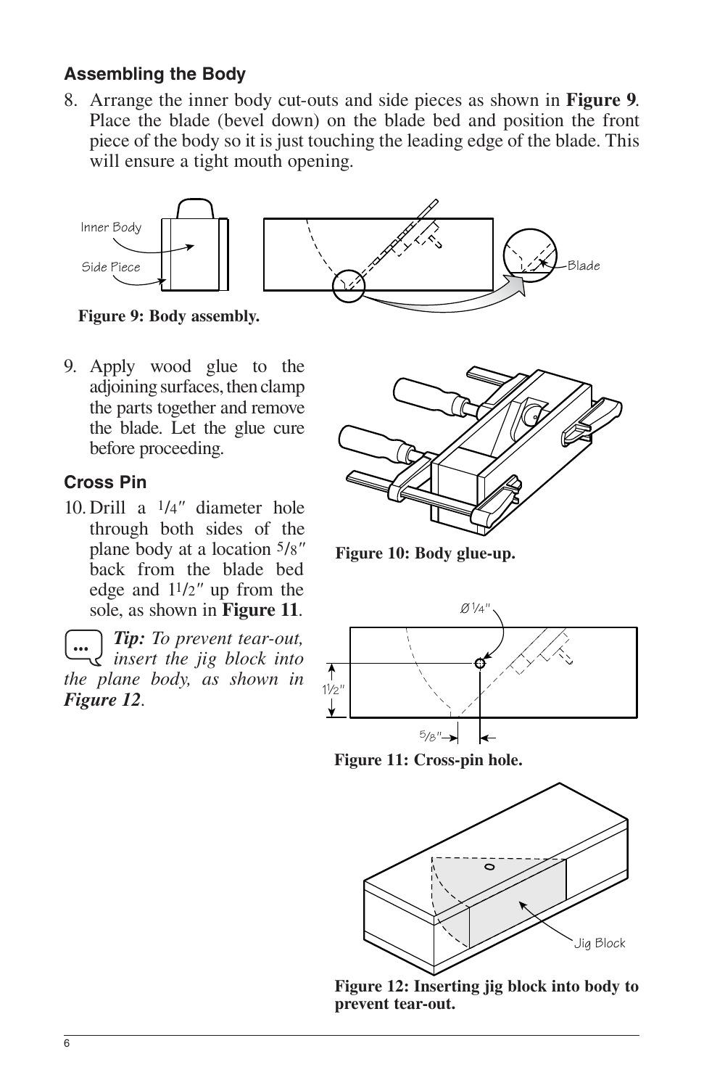#### **Assembling the Body**

8. Arrange the inner body cut-outs and side pieces as shown in **Figure 9**. Place the blade (bevel down) on the blade bed and position the front piece of the body so it is just touching the leading edge of the blade. This will ensure a tight mouth opening.



**Figure 9: Body assembly.**

9. Apply wood glue to the adjoining surfaces, then clamp the parts together and remove the blade. Let the glue cure before proceeding.

#### **Cross Pin**

10. Drill a 1/4*"* diameter hole through both sides of the plane body at a location 5/8*"* back from the blade bed edge and 11/2*"* up from the sole, as shown in **Figure 11**.

*Tip: To prevent tear-out, insert the jig block into the plane body, as shown in Figure 12.* ...



**Figure 10: Body glue-up.**



**Figure 11: Cross-pin hole.**



**Figure 12: Inserting jig block into body to prevent tear-out.**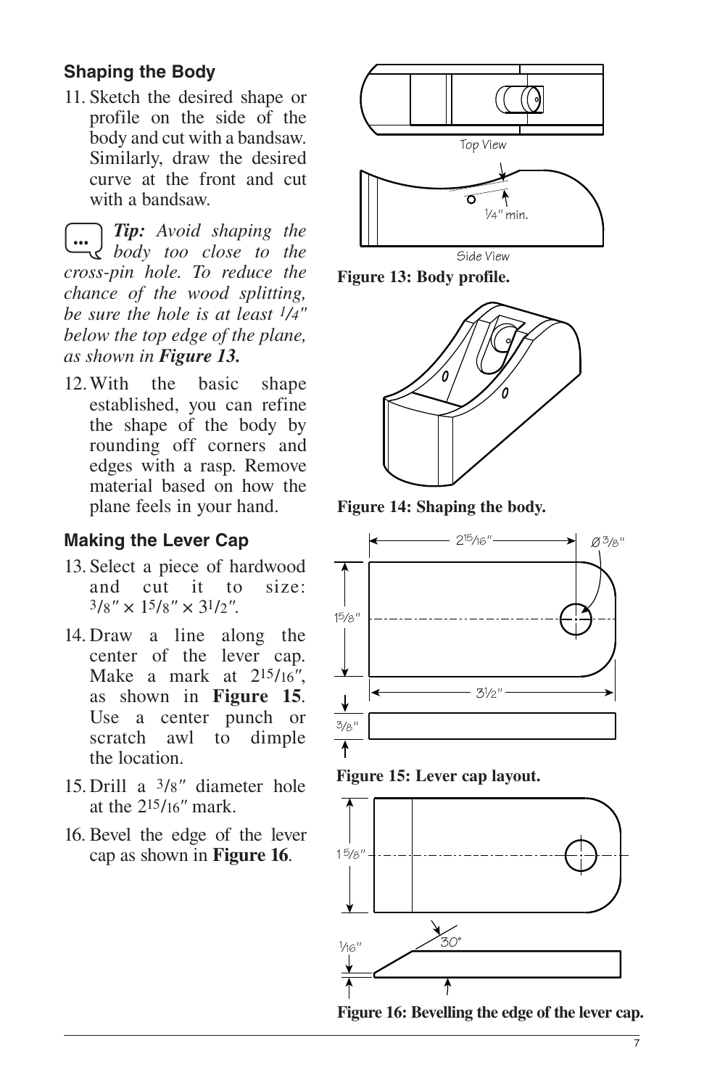### **Shaping the Body**

11. Sketch the desired shape or profile on the side of the body and cut with a bandsaw. Similarly, draw the desired curve at the front and cut with a bandsaw.

*Tip: Avoid shaping the body too close to the*  ... *cross-pin hole. To reduce the chance of the wood splitting, be sure the hole is at least 1/4" below the top edge of the plane, as shown in Figure 13.* 

12. With the basic shape established, you can refine the shape of the body by rounding off corners and edges with a rasp. Remove material based on how the plane feels in your hand.

#### **Making the Lever Cap**

- 13. Select a piece of hardwood and cut it to size:  $3/8'' \times 15/8'' \times 31/2''$ .
- 14. Draw a line along the center of the lever cap. Make a mark at 215/16*"*, as shown in **Figure 15**. Use a center punch or scratch awl to dimple the location.
- 15. Drill a 3/8*"* diameter hole at the 215/16*"* mark.
- 16. Bevel the edge of the lever cap as shown in **Figure 16**. 15/8"



Side View

**Figure 13: Body profile.**



**Figure 14: Shaping the body.**



**Figure 15: Lever cap layout.**



**Figure 16: Bevelling the edge of the lever cap.**